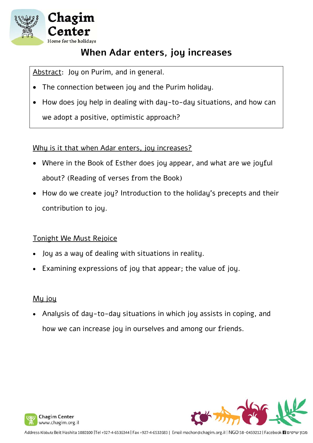

### **When Adar enters, joy increases**

Abstract: Joy on Purim, and in general.

- The connection between joy and the Purim holiday.
- How does joy help in dealing with day-to-day situations, and how can we adopt a positive, optimistic approach?

### Why is it that when Adar enters, joy increases?

- Where in the Book of Esther does joy appear, and what are we joyful about? (Reading of verses from the Book)
- How do we create joy? Introduction to the holiday's precepts and their contribution to joy.

### Tonight We Must Rejoice

- Joy as a way of dealing with situations in reality.
- Examining expressions of joy that appear; the value of joy.

### Mu jou

 Analysis of day-to-day situations in which joy assists in coping, and how we can increase joy in ourselves and among our friends.



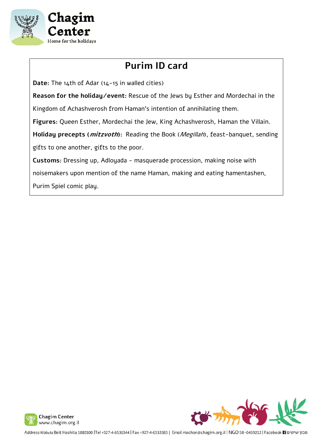

## **Purim ID card**

**Date:** The 14th of Adar (14-15 in walled cities)

**Reason for the holiday/event:** Rescue of the Jews by Esther and Mordechai in the

Kingdom of Achashverosh from Haman's intention of annihilating them.

**Figures:** Queen Esther, Mordechai the Jew, King Achashverosh, Haman the Villain.

**Holiday precepts (mitzvoth):** Reading the Book (Megillah), feast-banquet, sending

gifts to one another, gifts to the poor.

**Customs:** Dressing up, Adloyada - masquerade procession, making noise with

noisemakers upon mention of the name Haman, making and eating hamentashen,

Purim Spiel comic play.



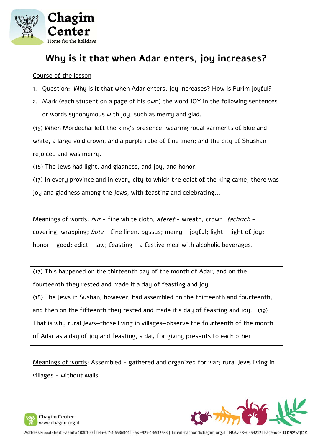

### **Why is it that when Adar enters, joy increases?**

#### Course of the lesson

- 1. Question: Why is it that when Adar enters, joy increases? How is Purim joyful?
- 2. Mark (each student on a page of his own) the word JOY in the following sentences or words synonymous with joy, such as merry and glad.

(15) When Mordechai left the king's presence, wearing royal garments of blue and white, a large gold crown, and a purple robe of fine linen; and the city of Shushan rejoiced and was merry.

(16) The Jews had light, and gladness, and joy, and honor.

(17) In every province and in every city to which the edict of the king came, there was joy and gladness among the Jews, with feasting and celebrating...

Meanings of words: hur - fine white cloth; ateret - wreath, crown; tachrich covering, wrapping; butz - fine linen, byssus; merry - joyful; light - light of joy; honor - good; edict - law; feasting - a festive meal with alcoholic beverages.

(17) This happened on the thirteenth day of the month of Adar, and on the fourteenth they rested and made it a day of feasting and joy. (18) The Jews in Sushan, however, had assembled on the thirteenth and fourteenth, and then on the fifteenth they rested and made it a day of feasting and joy. (19) That is why rural Jews—those living in villages—observe the fourteenth of the month

of Adar as a day of joy and feasting, a day for giving presents to each other.

Meanings of words: Assembled - gathered and organized for war; rural Jews living in villages - without walls.



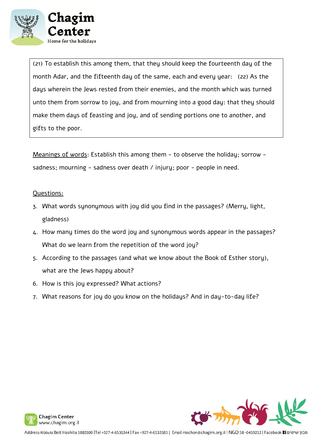

(21) To establish this among them, that they should keep the fourteenth day of the month Adar, and the fifteenth day of the same, each and every year: (22) As the days wherein the Jews rested from their enemies, and the month which was turned unto them from sorrow to joy, and from mourning into a good day: that they should make them days of feasting and joy, and of sending portions one to another, and gifts to the poor.

Meanings of words: Establish this among them - to observe the holiday; sorrow sadness; mourning - sadness over death / injury; poor - people in need.

#### Questions:

- 3. What words synonymous with joy did you find in the passages? (Merry, light, gladness)
- 4. How many times do the word joy and synonymous words appear in the passages? What do we learn from the repetition of the word joy?
- 5. According to the passages (and what we know about the Book of Esther story), what are the Jews happy about?
- 6. How is this joy expressed? What actions?
- 7. What reasons for joy do you know on the holidays? And in day-to-day life?



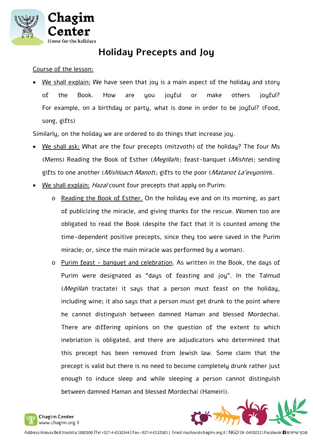

### **Holiday Precepts and Joy**

#### Course of the lesson:

We shall explain: We have seen that joy is a main aspect of the holiday and story of the Book. How are you joyful or make others joyful? For example, on a birthday or party, what is done in order to be joyful? (Food, song, gifts)

Similarly, on the holiday we are ordered to do things that increase joy.

- We shall ask: What are the four precepts (mitzvoth) of the holiday? The four Ms (Mems) Reading the Book of Esther (*Megillah*); feast-banquet (*Mishte*); sending gifts to one another (*Mishloach Manot*); gifts to the poor (*Matanot La'evyonim*).
- We shall explain: Hazal count four precepts that apply on Purim:
	- o Reading the Book of Esther. On the holiday eve and on its morning, as part of publicizing the miracle, and giving thanks for the rescue. Women too are obligated to read the Book (despite the fact that it is counted among the time-dependent positive precepts, since they too were saved in the Purim miracle; or, since the main miracle was performed by a woman).
	- o Purim feast banquet and celebration. As written in the Book, the days of Purim were designated as "days of feasting and joy". In the Talmud (Megillah tractate) it says that a person must feast on the holiday, including wine; it also says that a person must get drunk to the point where he cannot distinguish between damned Haman and blessed Mordechai. There are differing opinions on the question of the extent to which inebriation is obligated, and there are adjudicators who determined that this precept has been removed from Jewish law. Some claim that the precept is valid but there is no need to become completely drunk rather just enough to induce sleep and while sleeping a person cannot distinguish between damned Haman and blessed Mordechai (Hameiri).

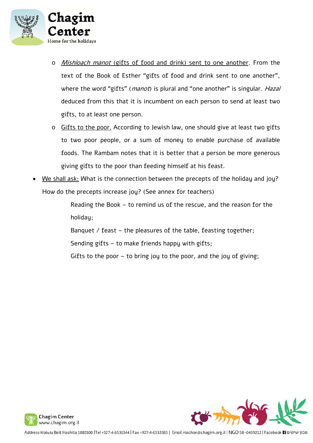

- o Mishloach manot (gifts of food and drink) sent to one another. From the text of the Book of Esther "gifts of food and drink sent to one another", where the word "gifts" (manot) is plural and "one another" is singular. Hazal deduced from this that it is incumbent on each person to send at least two gifts, to at least one person.
- o Gifts to the poor. According to Jewish law, one should give at least two gifts to two poor people, or a sum of money to enable purchase of available foods. The Rambam notes that it is better that a person be more generous giving gifts to the poor than feeding himself at his feast.
- We shall ask: What is the connection between the precepts of the holiday and joy? How do the precepts increase joy? (See annex for teachers)

Reading the Book – to remind us of the rescue, and the reason for the holiday;

Banquet / feast – the pleasures of the table, feasting together;

Sending gifts – to make friends happy with gifts;

Gifts to the poor – to bring joy to the poor, and the joy of giving;



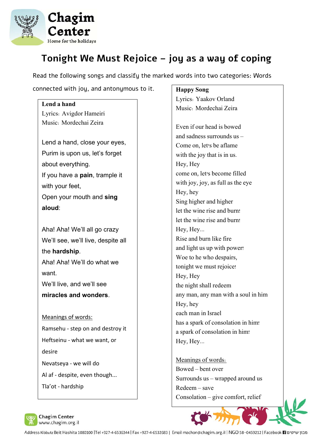

**Lend a hand** 

# **Tonight We Must Rejoice – joy as a way of coping**

Read the following songs and classify the marked words into two categories: Words

connected with joy, and antonymous to it.

# Lyrics: Avigdor Hameiri Music: Mordechai Zeira Lend a hand, close your eyes, Purim is upon us, let's forget about everything. If you have a **pain**, trample it with your feet, Open your mouth and **sing aloud**: Aha! Aha! We'll all go crazy We'll see, we'll live, despite all the **hardship**. Aha! Aha! We'll do what we want. We'll live, and we'll see **miracles and wonders**. Meanings of words: Ramsehu ‐ step on and destroy it Heftseinu ‐ what we want, or desire Nevatseya ‐ we will do Al af ‐ despite, even though... Tla'ot ‐ hardship

#### **Happy Song**

Lyrics: Yaakov Orland Music: Mordechai Zeira

Even if our head is bowed and sadness surrounds us – Come on, let's be aflame with the joy that is in us. Hey, Hey come on, let's become filled with joy, joy, as full as the eye Hey, hey Sing higher and higher let the wine rise and burn! let the wine rise and burn! Hey, Hey... Rise and burn like fire and light us up with power! Woe to he who despairs, tonight we must rejoice! Hey, Hey the night shall redeem any man, any man with a soul in him Hey, hey each man in Israel has a spark of consolation in him! a spark of consolation in him! Hey, Hey...

Meanings of words: Bowed – bent over Surrounds us – wrapped around us Redeem – save Consolation – give comfort, relief



מבון שיטים Facebook **F1 ו**GO 58-0459212 Facebook **F1 ו**Gddress Kibbutz Beit Hashita 1080100 |Tel +927-4-6536344 | Fax +927-4-6532683 | Email machon@chagim.org.il | NGO 58-0459212 | Facebook **F1**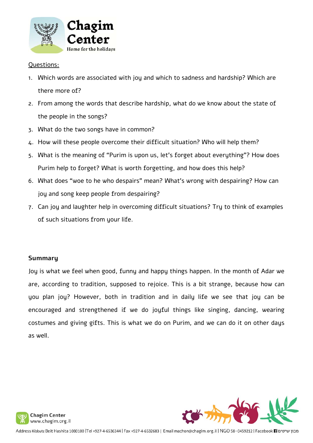

#### Questions:

- 1. Which words are associated with joy and which to sadness and hardship? Which are there more of?
- 2. From among the words that describe hardship, what do we know about the state of the people in the songs?
- 3. What do the two songs have in common?
- 4. How will these people overcome their difficult situation? Who will help them?
- 5. What is the meaning of "Purim is upon us, let's forget about everything"? How does Purim help to forget? What is worth forgetting, and how does this help?
- 6. What does "woe to he who despairs" mean? What's wrong with despairing? How can joy and song keep people from despairing?
- 7. Can joy and laughter help in overcoming difficult situations? Try to think of examples of such situations from your life.

#### **Summary**

Joy is what we feel when good, funny and happy things happen. In the month of Adar we are, according to tradition, supposed to rejoice. This is a bit strange, because how can you plan joy? However, both in tradition and in daily life we see that joy can be encouraged and strengthened if we do joyful things like singing, dancing, wearing costumes and giving gifts. This is what we do on Purim, and we can do it on other days as well.





מבון שיטים Facebook El יוכצו Facebook El Face וAddress Kibbutz Beit Hashita 1080100 |Tel +927-4-6532644 | Fax +927-4-6532683 | Email machon@chagim.org.il | NGO 58-0459212 | Facebook El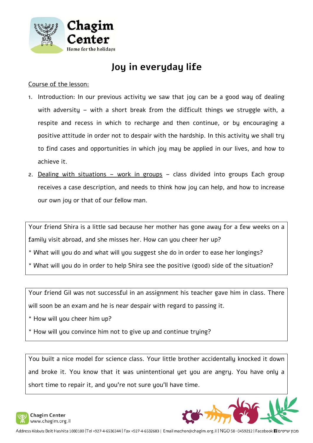

# **Joy in everyday life**

#### Course of the lesson:

- 1. Introduction: In our previous activity we saw that joy can be a good way of dealing with adversity – with a short break from the difficult things we struggle with, a respite and recess in which to recharge and then continue, or by encouraging a positive attitude in order not to despair with the hardship. In this activity we shall try to find cases and opportunities in which joy may be applied in our lives, and how to achieve it.
- 2. Dealing with situations work in groups class divided into groups Each group receives a case description, and needs to think how joy can help, and how to increase our own joy or that of our fellow man.

Your friend Shira is a little sad because her mother has gone away for a few weeks on a family visit abroad, and she misses her. How can you cheer her up?

- \* What will you do and what will you suggest she do in order to ease her longings?
- \* What will you do in order to help Shira see the positive (good) side of the situation?

Your friend Gil was not successful in an assignment his teacher gave him in class. There will soon be an exam and he is near despair with regard to passing it.

- \* How will you cheer him up?
- \* How will you convince him not to give up and continue trying?

You built a nice model for science class. Your little brother accidentally knocked it down and broke it. You know that it was unintentional yet you are angry. You have only a short time to repair it, and you're not sure you'll have time.



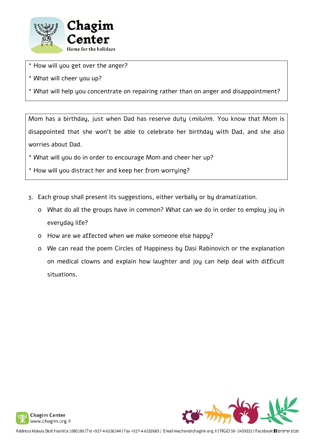

- \* How will you get over the anger?
- \* What will cheer you up?

\* What will help you concentrate on repairing rather than on anger and disappointment?

Mom has a birthday, just when Dad has reserve duty (*miluim*). You know that Mom is disappointed that she won't be able to celebrate her birthday with Dad, and she also worries about Dad.

- \* What will you do in order to encourage Mom and cheer her up?
- \* How will you distract her and keep her from worrying?
- 3. Each group shall present its suggestions, either verbally or by dramatization.
	- o What do all the groups have in common? What can we do in order to employ joy in everyday life?
	- o How are we affected when we make someone else happy?
	- o We can read the poem Circles of Happiness by Dasi Rabinovich or the explanation on medical clowns and explain how laughter and joy can help deal with difficult situations.



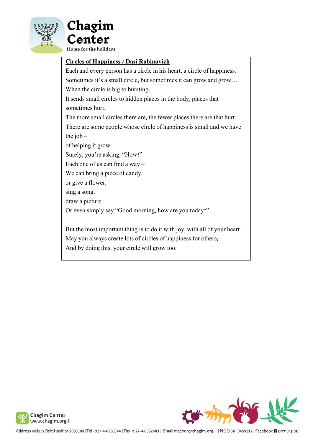



#### **Circles of Happiness / Dasi Rabinovich**

Each and every person has a circle in his heart, a circle of happiness. Sometimes it's a small circle, but sometimes it can grow and grow… When the circle is big to bursting, It sends small circles to hidden places in the body, places that sometimes hurt. The more small circles there are, the fewer places there are that hurt. There are some people whose circle of happiness is small and we have the job  $$ of helping it grow! Surely, you're asking, "How?" Each one of us can find a way – We can bring a piece of candy, or give a flower, sing a song, draw a picture, Or even simply say "Good morning, how are you today?" But the most important thing is to do it with joy, with all of your heart. May you always create lots of circles of happiness for others;

And by doing this, your circle will grow too.



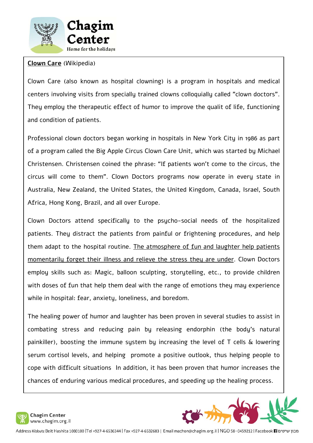

#### **Clown Care** (Wikipedia)

Clown Care (also known as hospital clowning) is a program in hospitals and medical centers involving visits from specially trained clowns colloquially called "clown doctors". They employ the therapeutic effect of humor to improve the qualit of life, functioning and condition of patients.

Professional clown doctors began working in hospitals in New York City in 1986 as part of a program called the Big Apple Circus Clown Care Unit, which was started by Michael Christensen. Christensen coined the phrase: "If patients won't come to the circus, the circus will come to them". Clown Doctors programs now operate in every state in Australia, New Zealand, the United States, the United Kingdom, Canada, Israel, South Africa, Hong Kong, Brazil, and all over Europe.

Clown Doctors attend specifically to the psycho-social needs of the hospitalized patients. They distract the patients from painful or frightening procedures, and help them adapt to the hospital routine. The atmosphere of fun and laughter help patients momentarily forget their illness and relieve the stress they are under. Clown Doctors employ skills such as: Magic, balloon sculpting, storytelling, etc., to provide children with doses of fun that help them deal with the range of emotions they may experience while in hospital: fear, anxiety, loneliness, and boredom.

The healing power of humor and laughter has been proven in several studies to assist in combating stress and reducing pain by releasing endorphin (the body's natural painkiller), boosting the immune system by increasing the level of T cells & lowering serum cortisol levels, and helping promote a positive outlook, thus helping people to cope with difficult situations In addition, it has been proven that humor increases the chances of enduring various medical procedures, and speeding up the healing process.



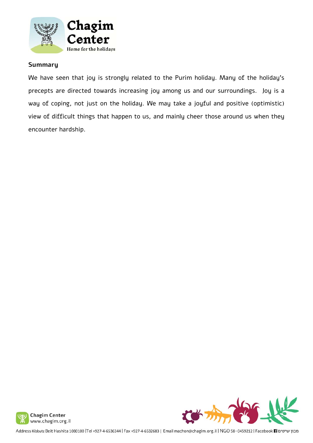

#### **Summary**

We have seen that joy is strongly related to the Purim holiday. Many of the holiday's precepts are directed towards increasing joy among us and our surroundings. Joy is a way of coping, not just on the holiday. We may take a joyful and positive (optimistic) view of difficult things that happen to us, and mainly cheer those around us when they encounter hardship.





Address Kibbutz Beit Hashita 1080100 |Tel +927-4-6536344 | Fax +927-4-6532683 | Email machon@chagim.org.il | NGO 58-0459212 | Facebook |2 מכון שיטים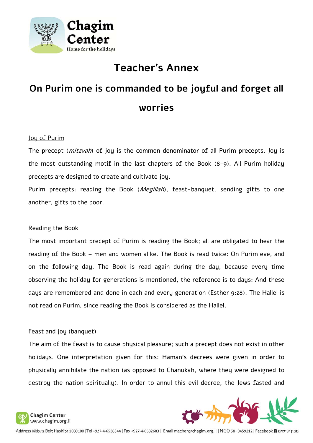

# **Teacher's Annex**

# **On Purim one is commanded to be joyful and forget all worries**

#### Joy of Purim

The precept (*mitzvah*) of joy is the common denominator of all Purim precepts. Joy is the most outstanding motif in the last chapters of the Book (8-9). All Purim holiday precepts are designed to create and cultivate joy.

Purim precepts: reading the Book (Megillah), feast-banquet, sending gifts to one another, gifts to the poor.

#### Reading the Book

The most important precept of Purim is reading the Book; all are obligated to hear the reading of the Book – men and women alike. The Book is read twice: On Purim eve, and on the following day. The Book is read again during the day, because every time observing the holiday for generations is mentioned, the reference is to days: And these days are remembered and done in each and every generation (Esther 9:28). The Hallel is not read on Purim, since reading the Book is considered as the Hallel.

#### Feast and joy (banquet)

The aim of the feast is to cause physical pleasure; such a precept does not exist in other holidays. One interpretation given for this: Haman's decrees were given in order to physically annihilate the nation (as opposed to Chanukah, where they were designed to destroy the nation spiritually). In order to annul this evil decree, the Jews fasted and



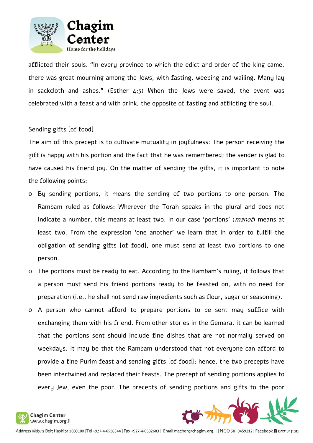

afflicted their souls. "In every province to which the edict and order of the king came, there was great mourning among the Jews, with fasting, weeping and wailing. Many lay in sackcloth and ashes." (Esther  $4:3$ ) When the Jews were saved, the event was celebrated with a feast and with drink, the opposite of fasting and afflicting the soul.

#### Sending gifts [of food]

The aim of this precept is to cultivate mutuality in joyfulness: The person receiving the gift is happy with his portion and the fact that he was remembered; the sender is glad to have caused his friend joy. On the matter of sending the gifts, it is important to note the following points:

- o By sending portions, it means the sending of two portions to one person. The Rambam ruled as follows: Wherever the Torah speaks in the plural and does not indicate a number, this means at least two. In our case 'portions' (*manot*) means at least two. From the expression 'one another' we learn that in order to fulfill the obligation of sending gifts [of food], one must send at least two portions to one person.
- o The portions must be ready to eat. According to the Rambam's ruling, it follows that a person must send his friend portions ready to be feasted on, with no need for preparation (i.e., he shall not send raw ingredients such as flour, sugar or seasoning).
- o A person who cannot afford to prepare portions to be sent may suffice with exchanging them with his friend. From other stories in the Gemara, it can be learned that the portions sent should include fine dishes that are not normally served on weekdays. It may be that the Rambam understood that not everyone can afford to provide a fine Purim feast and sending gifts [of food]; hence, the two precepts have been intertwined and replaced their feasts. The precept of sending portions applies to every Jew, even the poor. The precepts of sending portions and gifts to the poor

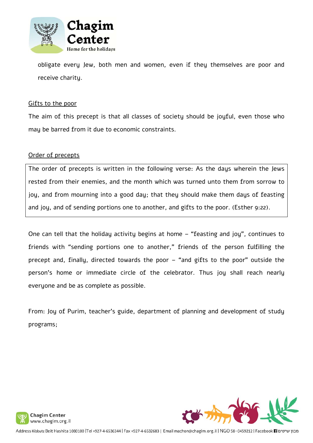

obligate every Jew, both men and women, even if they themselves are poor and receive charity.

#### Gifts to the poor

The aim of this precept is that all classes of society should be joyful, even those who may be barred from it due to economic constraints.

#### Order of precepts

The order of precepts is written in the following verse: As the days wherein the Jews rested from their enemies, and the month which was turned unto them from sorrow to joy, and from mourning into a good day; that they should make them days of feasting and joy, and of sending portions one to another, and gifts to the poor. (Esther 9:22).

One can tell that the holiday activity begins at home – "feasting and joy", continues to friends with "sending portions one to another," friends of the person fulfilling the precept and, finally, directed towards the poor – "and gifts to the poor" outside the person's home or immediate circle of the celebrator. Thus joy shall reach nearly everyone and be as complete as possible.

From: Joy of Purim, teacher's guide, department of planning and development of study programs;